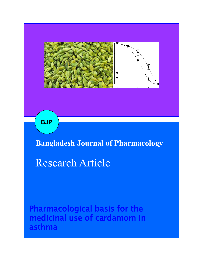

**BJP**

**Bangladesh Journal of Pharmacology**

Research Article

Pharmacological basis for the medicinal use of cardamom in asthma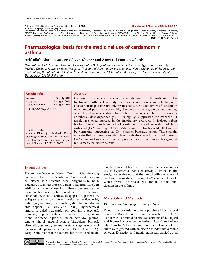A Journal of the Bangladesh Pharmacological Society (BDPS) **Bangladesh J Pharmacol 2011; 6: 34-37** 

Journal homepage: www.banglajol.info Abstracted/indexed in Academic Search Complete, Agroforestry Abstracts, Asia Journals Online, Bangladesh Journals Online, Biological Abstracts, BIOSIS Previews, CAB Abstracts, Current Abstracts, Directory of Open Access Journals, EMBASE/Excerpta Medica, Global Health, Google Scholar, HINARI (WHO), International Pharmaceutical Abstracts, Open J-gate, Science Citation Index Expanded, SCOPUS and Social Sciences Citation Index **ISSN**: 1991-0088 (Online)

# Pharmacological basis for the medicinal use of cardamom in asthma

# **Arif-ullah Khan1,2, Qaiser Jabeen Khan1,3 and Anwarul-Hassan Gilani<sup>1</sup>**

*<sup>1</sup>Natural Product Research Division, Department of Biological and Biomedical Sciences, Aga Khan University*  Medical College, Karachi 74800, Pakistan; <sup>2</sup>Institute of Pharmaceutical Sciences, Kohat University of Science and Technology, Kohat 26000, Pakistan; <sup>3</sup> Faculty of Pharmacy and Alternative Medicine, The Islamia University of *Bahawalpur 63100, Pakistan.*

| <b>Article Info</b>                                                                                                                                                       |               | <b>Abstract</b>                                                                              |
|---------------------------------------------------------------------------------------------------------------------------------------------------------------------------|---------------|----------------------------------------------------------------------------------------------|
| Received:                                                                                                                                                                 | 30 July 2011  | Cardamom (Elettaria cardamomum) is widely used in folk medicine for the                      |
| Accepted:                                                                                                                                                                 | 1 August 2011 | treatment of asthma. This study describes its airways relaxant potential, with               |
| <b>Available Online:</b>                                                                                                                                                  | 3 August 2011 | elucidation of possible underlying mechanism. Crude extract of cardamom                      |
| DOI: 10.3329/bjp.v6i1.8133                                                                                                                                                |               | which tested positive for alkaloids, flavonoids, saponins, sterols and tannins,              |
|                                                                                                                                                                           |               | when tested against carbachol-mediated bronchoconstriction in rats under                     |
|                                                                                                                                                                           |               | anesthesia, dose-dependently (10-100 mg/kg) suppressed the carbachol (1                      |
|                                                                                                                                                                           |               | $\mu$ mol/kg)-evoked increase in the inspiratory pressure. In isolated rabbit                |
|                                                                                                                                                                           |               | trachea tissues, crude extract of cardamom caused relaxation of both                         |
| Cite this article:<br>Khan A, Khan QJ, Gilani AH. Phar-<br>macological basis for the medicinal<br>use of cardamom in asthma. Bangla-<br>desh J Pharmacol. 2011; 6: 34-37. |               | carbachol (1 $\mu$ M) and high K <sup>+</sup> (80 mM)-induced contractions, like that caused |
|                                                                                                                                                                           |               | by verapamil, suggesting its Ca <sup>++</sup> channel blockade action. These results         |
|                                                                                                                                                                           |               | indicate that cardamom exhibits bronchodilatory effect, mediated through                     |
|                                                                                                                                                                           |               | Ca <sup>++</sup> antagonist mechanism, which provides sound mechanistic background           |
|                                                                                                                                                                           |               | for its medicinal use in asthma.                                                             |
|                                                                                                                                                                           |               |                                                                                              |

# **Introduction**

*Elettaria cardamomum* Maton (family: Scitaminaceae) commonly known as "cardamom" and locally known as "elaichi" is a perennial herb, indigenous to India, Pakistan, Myanmar and Sri Lanka (Nadkarni, 1976). In addition to its wide use for culinary purpose, cardamom has been used in traditional medicine for asthma, constipation, colic, diarrhea, dyspepsia, hypertension, epilepsy and is considered useful as antibacterial, antifungal, antiviral, carminative, diuretic and stomachic (Kapoor, 1990; Duke et al., 2002). Phytochemical studies revealed that cardamom contains a-terpineol, myrcene, heptane, subinene, limonene, cineol, menthone,  $\alpha$ -pinene,  $\beta$ -pinene, linalol, nerolidol,  $\beta$ -sitostenone, phytol, eugenyl acetate, bisabolene, borneol, citronellol, geraniol, geranyl acetate, stigmasterol and terpinene (Gopalakrishnan et al., 1990; Duke, 1992). Despite the fact that cardamom has been used medicinally, it has not been widely studied to rationalize its use in hyperactive status of airways, asthma. In this study, we evaluated that the bronchodilatory effect of cardamom is mediated through Ca<sup>++</sup> channel blockade, which provide pharmacological rational for its effectiveness in the asthma.

# **Materials and Methods**

#### *Plant material and preparation of extract*

Dried fruits of cardamom were purchased from a local market in Karachi and the sample voucher (EC-SE-07- 04-54) was submitted to the Department of Biological and Biomedical Sciences herbarium, Aga Khan University, Karachi. After cleaning of adulterant material, the fruits were ground with an electric grinder into a coarse powder. Extraction and fractionation was carried out as



This work is licensed under a Creative Commons Attribution 3.0 License. You are free to copy, distribute and perform the work. You must attribute the work in the manner specified by the author or licensor.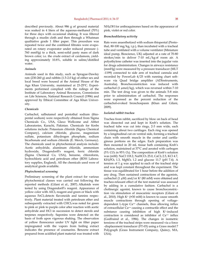described previously. About 986 g of ground material was soaked in 4 liters of the aqueous-methanol (70%) for three days with occasional shaking. It was filtered through a muslin cloth and then through a Whatman qualitative grade 1 filter paper. This procedure was repeated twice and the combined filtrates were evaporated on rotary evaporator under reduced pressure (- 760 mmHg) to a thick, semi-solid pasty mass of dark brown color; i.e. the crude extract of cardamom, yielding approximately 10.8%, soluble in saline/distilled water.

#### *Animals*

Animals used in this study, such as Sprague-Dawley rats (230-260 g) and rabbits (1.5-2.0 kg) of either sex and local breed were housed at the Animal House of the Aga Khan University, maintained at 23-25ºC. Experiments performed complied with the rulings of the Institute of Laboratory Animal Resources, Commission on Life Sciences, National Research Council (1996) and approved by Ethical Committee of Aga Khan University.

### *Chemicals*

Carbachol, salbutamol and pentothal sodium (thiopental sodium) were respectively obtained from Sigma Chemicals Co., USA, Glaxo Wellcome and Abbot Laboratories, Karachi, Pakistan. Chemicals for Krebs solutions include: Potassium chloride (Sigma Chemical Company), calcium chloride, glucose, magnesium sulfate, potassium dihydrogen phosphate, sodium bicarbonate and sodium chloride (E. Merck, Germany). The chemicals used in phytochemical analysis include: Acetic anhydride, aluminum chloride, ammonium hydroxide, Dragendorff's reagent, ferric chloride (Sigma Chemical Co, USA), benzene, chloroform, hydrochloric acid and petroleum ether (BDH Laboratory supplies, England). All the chemicals used were of analytical grade available.

# *Phytochemical screening*

Preliminary screening of the plant extract for various phytochemical classes was carried out following the reported methods (Gilani et al., 2007). Alkaloids were tested by using Dragendorff's reagent. Appearance of yellow color with  $AICl<sub>3</sub>$  reagent and green or black with aqueous FeCl<sub>3</sub> detects flavonoids and tannins respectively. Plant material treated with petroleum ether and subsequently extracted with  $CHCl<sub>3</sub>$  was noted for green to pink or pink to purple color after reaction with acetic anhydride and HCl in succession to detect sterols and terpenes respectively. Saponins were detected on the basis of froth upon vigorous shaking. The observation of yellow florescence under UV light on filter paper impregnated with the vapors from boiling extract indicates the presence of coumarins. Benzene extract prepared from acidified plant material was treated with

NH4OH for anthraquinones based on the appearance of pink, violet or red color.

#### *Bronchodilatory activity*

Rats were anaesthetized with sodium thiopental (Pentothal, 80-100 mg/kg, i.p.), than incubated with a tracheal tube and ventilated with a volume ventilator (Miniature ideal pump, Bioscience, UK) adjusted at a rate of 70-80 strokes/min to deliver 7-10 mL/kg of room air. A polyethylene catheter was inserted into the jugular vein for drugs administration. Changes in airways resistance (mmHg) were measured by a pressure transducer (MLT -1199) connected to side arm of tracheal cannula and recorded by PowerLab 4/25 with running chart software via Quad bridge amplifier (ADInstruments, Australia). Bronchoconstriction was induced with carbachol  $(1 \mu \text{mol/kg})$ , which was reversed within 7-10 min. The test drug was given to the animals 5-8 min prior to administration of carbachol. The responses were expressed as the percent reduction of the carbachol-evoked bronchospasm (Khan and Gilani, 2009).

#### *Isolated rabbit trachea*

Trachea from rabbit, sacrificed by blow on back of head was dissected out and kept in Kreb's solution. The tracheal tube was cut into rings, 2-3 mm wide, each containing about two cartilages. Each ring was opened by a longitudinal cut on ventral side, forming a tracheal chain with smooth muscle in the center and cartilaginous portions on the edges. Each preparation was then mounted in 20 mL tissue bath containing Kreb's solution, maintained at 37ºC and aerated with carbogen (5%  $CO<sub>2</sub>$  in 95%  $O<sub>2</sub>$ ). The composition of Kreb's solution was (mM): NaCl 118.2, NaHCO<sub>3</sub> 25.0, CaCl<sub>2</sub> 2.5, KCl 4.7, KH2PO4 1.3, MgSO4 1.2 and glucose 11.7 (pH 7.4). A tension of 1 g was applied to each of the tracheal strip and was kept constant throughout the experiment. The tissue was equilibrated for 1 hour before the addition of any drug. Then sustained contractions of the agonists, carbachol (1  $\mu$ M) and/or K<sup>+</sup> (80 mM) were obtained and tracheo-relaxant effect of the test material was assessed by adding in a cumulative fashion. Carbachol is a cholinergic agonist, known to cause bronchoconstriction via stimulation of muscarinic receptors (Gilani et al., 2010). High K+ (**>**30 mM) is known to cause smooth muscle contractions through opening of voltagedependent L-type Ca<sup>++</sup> channels, thus allowing influx of extracellular Ca++ causing a contractile effect and the substance causing inhibition of high K+-induced contraction is considered as inhibitor of Ca++ influx (Godfraind et al., 1986). The changes in isometric tensions of the tracheal strips were measured via a force -displacement transducer (FT-03) using a Grass model 7 Polygraph (Grass Instrument Company, Quincy, MA, USA).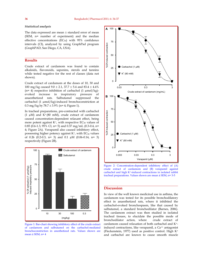# *Statistical analysis*

The data expressed are mean  $\pm$  standard error of mean (SEM, n= number of experiment) and the median effective concentrations  $(EC_{50})$  with 95% confidence intervals (CI), analyzed by using GraphPad program (GraphPAD, San Diego, CA, USA).

# **Results**

Crude extract of cardamom was found to contain alkaloids, flavonoids, saponins, sterols and tannins while tested negative for the rest of classes (data not shown).

Crude extract of cardamom at the doses of 10, 30 and 100 mg/kg caused  $9.0 \pm 2.1$ , 37.7  $\pm$  5.4 and 83.4  $\pm$  4.4% (n= 4) respective inhibition of carbachol  $(1 \mu \text{mol/kg})$ evoked increase in inspiratory pressure of anaesthetized rats. Salbutamol suppressed the carbachol (1 µmol/kg)-induced bronchoconstriction at 0.3 mg/kg by  $78.7 \pm 3.9\%$  (n= 4; Figure 1).

In tracheal preparations, pre-contracted with carbachol (1  $\mu$ M) and K<sup>+</sup> (80 mM), crude extract of cardamom caused concentration-dependent relaxant effect, being more potent against  $K^+$ , with respective  $EC_{50}$  values of 0.85 (0.6-1.3, 95% CI, n= 5) and 0.37 mg/mL (0.3-0.4, n= 4; Figure 2A). Verapamil also caused inhibitory effect, possessing higher potency against  $K^+$ , with  $EC_{50}$  values of 0.26 (0.2-0.3, n= 3) and 0.1  $\mu$ M (0.06-0.14, n= 3) respectively (Figure 2B).



Figure 1: Bar-chart showing inhibitory effect of the crude extract of cardamom and salbutamol on the carbachol-mediated bronchoconstriction in anesthetized rats. Values shown are mean  $\pm$  SEM, n= 4



Figure 2: Concentration-dependent inhibitory effect of (A) crude extract of cardamom and (B) verapamil against carbachol and high K+-induced contractions in isolated rabbit tracheal preparations. Values shown are mean ± SEM, n= 3-5

# **Discussion**

In view of the well known medicinal use in asthma, the cardamom was tested for its possible bronchodilatory effect in anaesthetized rats, where it inhibited the carbachol-evoked bronchospasm, like that caused by salbutamol, a standard bronchodilator (Barnes, 2006). The cardamom extract was then studied in isolated tracheal tissues, to elucidate the possible mode of bronchodilator action, where crude extract of cardamom caused relaxation of both carbachol and K+ induced contractions, like verapamil, a Ca<sup>++</sup> antagonist (Fleckenstein, 1977) used as positive control. High K<sup>+</sup> and carbachol are known to cause smooth muscle